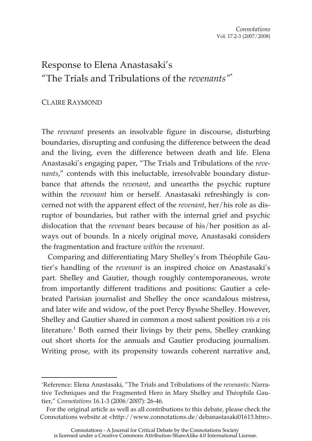## Response to Elena Anastasaki's "The Trials and Tribulations of the *revenants"*\*

## CLAIRE RAYMOND

 $\overline{a}$ 

The *revenant* presents an insolvable figure in discourse, disturbing boundaries, disrupting and confusing the difference between the dead and the living, even the difference between death and life. Elena Anastasaki's engaging paper, "The Trials and Tribulations of the *revenants*," contends with this ineluctable, irresolvable boundary disturbance that attends the *revenant*, and unearths the psychic rupture within the *revenant* him or herself. Anastasaki refreshingly is concerned not with the apparent effect of the *revenant*, her/his role as disruptor of boundaries, but rather with the internal grief and psychic dislocation that the *revenant* bears because of his/her position as always out of bounds. In a nicely original move, Anastasaki considers the fragmentation and fracture *within* the *revenant*.

Comparing and differentiating Mary Shelley's from Théophile Gautier's handling of the *revenant* is an inspired choice on Anastasaki's part. Shelley and Gautier, though roughly contemporaneous, wrote from importantly different traditions and positions: Gautier a celebrated Parisian journalist and Shelley the once scandalous mistress, and later wife and widow, of the poet Percy Bysshe Shelley. However, Shelley and Gautier shared in common a most salient position *vis a vis* literature.<sup>1</sup> Both earned their livings by their pens, Shelley cranking out short shorts for the annuals and Gautier producing journalism. Writing prose, with its propensity towards coherent narrative and,

<sup>\*</sup>Reference: Elena Anastasaki, "The Trials and Tribulations of the *revenants*: Narrative Techniques and the Fragmented Hero in Mary Shelley and Théophile Gautier," *Connotations* 16.1-3 (2006/2007): 26-46.

For the original article as well as all contributions to this debate, please check the Connotations website at <http://www.connotations.de/debanastasaki01613.htm>.

Connotations - A Journal for Critical Debate by the Connotations Society is licensed under a Creative Commons Attribution-ShareAlike 4.0 International License.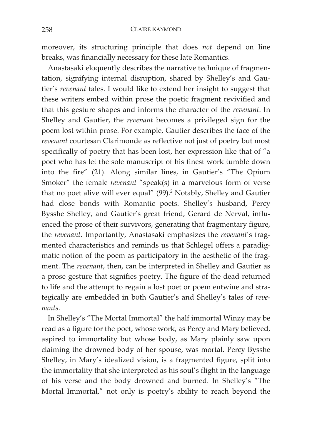moreover, its structuring principle that does *not* depend on line breaks, was financially necessary for these late Romantics.

Anastasaki eloquently describes the narrative technique of fragmentation, signifying internal disruption, shared by Shelley's and Gautier's *revenant* tales. I would like to extend her insight to suggest that these writers embed within prose the poetic fragment revivified and that this gesture shapes and informs the character of the *revenant*. In Shelley and Gautier, the *revenant* becomes a privileged sign for the poem lost within prose. For example, Gautier describes the face of the *revenant* courtesan Clarimonde as reflective not just of poetry but most specifically of poetry that has been lost, her expression like that of "a poet who has let the sole manuscript of his finest work tumble down into the fire" (21). Along similar lines, in Gautier's "The Opium Smoker" the female *revenant* "speak(s) in a marvelous form of verse that no poet alive will ever equal"  $(99)$ .<sup>2</sup> Notably, Shelley and Gautier had close bonds with Romantic poets. Shelley's husband, Percy Bysshe Shelley, and Gautier's great friend, Gerard de Nerval, influenced the prose of their survivors, generating that fragmentary figure, the *revenant*. Importantly, Anastasaki emphasizes the *revenant*'s fragmented characteristics and reminds us that Schlegel offers a paradigmatic notion of the poem as participatory in the aesthetic of the fragment. The *revenant*, then, can be interpreted in Shelley and Gautier as a prose gesture that signifies poetry. The figure of the dead returned to life and the attempt to regain a lost poet or poem entwine and strategically are embedded in both Gautier's and Shelley's tales of *revenants*.

In Shelley's "The Mortal Immortal" the half immortal Winzy may be read as a figure for the poet, whose work, as Percy and Mary believed, aspired to immortality but whose body, as Mary plainly saw upon claiming the drowned body of her spouse, was mortal. Percy Bysshe Shelley, in Mary's idealized vision, is a fragmented figure, split into the immortality that she interpreted as his soul's flight in the language of his verse and the body drowned and burned. In Shelley's "The Mortal Immortal," not only is poetry's ability to reach beyond the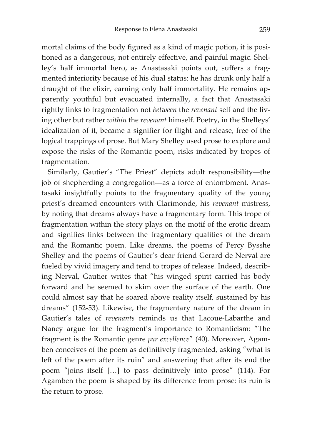mortal claims of the body figured as a kind of magic potion, it is positioned as a dangerous, not entirely effective, and painful magic. Shelley's half immortal hero, as Anastasaki points out, suffers a fragmented interiority because of his dual status: he has drunk only half a draught of the elixir, earning only half immortality. He remains apparently youthful but evacuated internally, a fact that Anastasaki rightly links to fragmentation not *between* the *revenant* self and the living other but rather *within* the *revenant* himself. Poetry, in the Shelleys' idealization of it, became a signifier for flight and release, free of the logical trappings of prose. But Mary Shelley used prose to explore and expose the risks of the Romantic poem, risks indicated by tropes of fragmentation.

Similarly, Gautier's "The Priest" depicts adult responsibility—the job of shepherding a congregation—as a force of entombment. Anastasaki insightfully points to the fragmentary quality of the young priest's dreamed encounters with Clarimonde, his *revenant* mistress, by noting that dreams always have a fragmentary form. This trope of fragmentation within the story plays on the motif of the erotic dream and signifies links between the fragmentary qualities of the dream and the Romantic poem. Like dreams, the poems of Percy Bysshe Shelley and the poems of Gautier's dear friend Gerard de Nerval are fueled by vivid imagery and tend to tropes of release. Indeed, describing Nerval, Gautier writes that "his winged spirit carried his body forward and he seemed to skim over the surface of the earth. One could almost say that he soared above reality itself, sustained by his dreams" (152-53). Likewise, the fragmentary nature of the dream in Gautier's tales of *revenants* reminds us that Lacoue-Labarthe and Nancy argue for the fragment's importance to Romanticism: "The fragment is the Romantic genre *par excellence*" (40). Moreover, Agamben conceives of the poem as definitively fragmented, asking "what is left of the poem after its ruin" and answering that after its end the poem "joins itself […] to pass definitively into prose" (114). For Agamben the poem is shaped by its difference from prose: its ruin is the return to prose.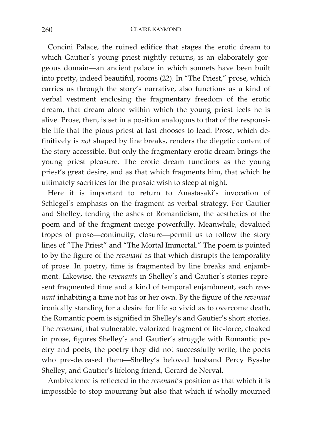Concini Palace, the ruined edifice that stages the erotic dream to which Gautier's young priest nightly returns, is an elaborately gorgeous domain—an ancient palace in which sonnets have been built into pretty, indeed beautiful, rooms (22). In "The Priest," prose, which carries us through the story's narrative, also functions as a kind of verbal vestment enclosing the fragmentary freedom of the erotic dream, that dream alone within which the young priest feels he is alive. Prose, then, is set in a position analogous to that of the responsible life that the pious priest at last chooses to lead. Prose, which definitively is *not* shaped by line breaks, renders the diegetic content of the story accessible. But only the fragmentary erotic dream brings the young priest pleasure. The erotic dream functions as the young priest's great desire, and as that which fragments him, that which he ultimately sacrifices for the prosaic wish to sleep at night.

Here it is important to return to Anastasaki's invocation of Schlegel's emphasis on the fragment as verbal strategy. For Gautier and Shelley, tending the ashes of Romanticism, the aesthetics of the poem and of the fragment merge powerfully. Meanwhile, devalued tropes of prose—continuity, closure—permit us to follow the story lines of "The Priest" and "The Mortal Immortal." The poem is pointed to by the figure of the *revenant* as that which disrupts the temporality of prose. In poetry, time is fragmented by line breaks and enjambment. Likewise, the *revenants* in Shelley's and Gautier's stories represent fragmented time and a kind of temporal enjambment, each *revenant* inhabiting a time not his or her own. By the figure of the *revenant* ironically standing for a desire for life so vivid as to overcome death, the Romantic poem is signified in Shelley's and Gautier's short stories. The *revenant*, that vulnerable, valorized fragment of life-force, cloaked in prose, figures Shelley's and Gautier's struggle with Romantic poetry and poets, the poetry they did not successfully write, the poets who pre-deceased them—Shelley's beloved husband Percy Bysshe Shelley, and Gautier's lifelong friend, Gerard de Nerval.

Ambivalence is reflected in the *revenant*'s position as that which it is impossible to stop mourning but also that which if wholly mourned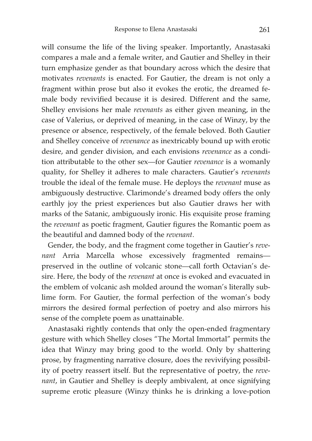will consume the life of the living speaker. Importantly, Anastasaki compares a male and a female writer, and Gautier and Shelley in their turn emphasize gender as that boundary across which the desire that motivates *revenants* is enacted. For Gautier, the dream is not only a fragment within prose but also it evokes the erotic, the dreamed female body revivified because it is desired. Different and the same, Shelley envisions her male *revenants* as either given meaning, in the case of Valerius, or deprived of meaning, in the case of Winzy, by the presence or absence, respectively, of the female beloved. Both Gautier and Shelley conceive of *revenance* as inextricably bound up with erotic desire, and gender division, and each envisions *revenance* as a condition attributable to the other sex—for Gautier *revenance* is a womanly quality, for Shelley it adheres to male characters. Gautier's *revenants* trouble the ideal of the female muse. He deploys the *revenant* muse as ambiguously destructive. Clarimonde's dreamed body offers the only earthly joy the priest experiences but also Gautier draws her with marks of the Satanic, ambiguously ironic. His exquisite prose framing the *revenant* as poetic fragment, Gautier figures the Romantic poem as the beautiful and damned body of the *revenant*.

Gender, the body, and the fragment come together in Gautier's *revenant* Arria Marcella whose excessively fragmented remains preserved in the outline of volcanic stone—call forth Octavian's desire. Here, the body of the *revenant* at once is evoked and evacuated in the emblem of volcanic ash molded around the woman's literally sublime form. For Gautier, the formal perfection of the woman's body mirrors the desired formal perfection of poetry and also mirrors his sense of the complete poem as unattainable.

Anastasaki rightly contends that only the open-ended fragmentary gesture with which Shelley closes "The Mortal Immortal" permits the idea that Winzy may bring good to the world. Only by shattering prose, by fragmenting narrative closure, does the revivifying possibility of poetry reassert itself. But the representative of poetry, the *revenant*, in Gautier and Shelley is deeply ambivalent, at once signifying supreme erotic pleasure (Winzy thinks he is drinking a love-potion